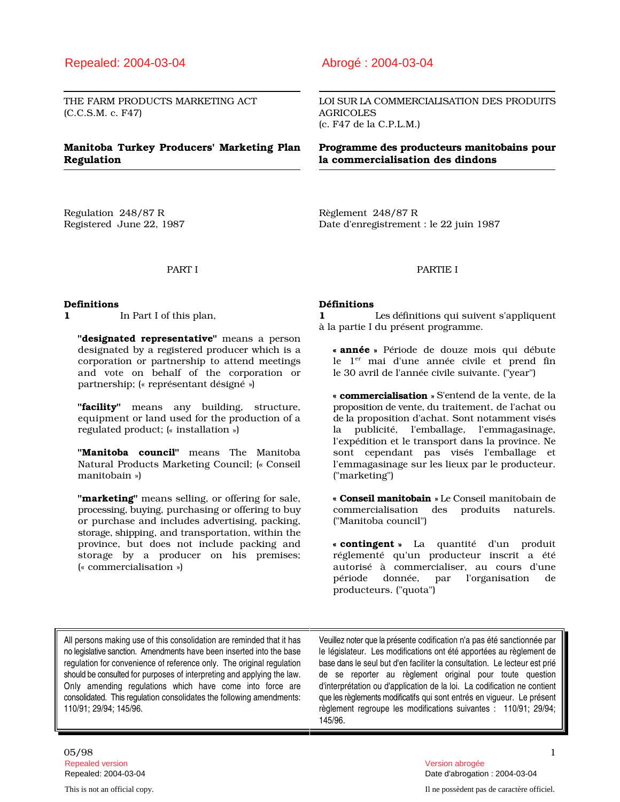### Repealed: 2004-03-04 Abrogé : 2004-03-04

(C.C.S.M. c. F47) AGRICOLES

## Regulation la commercialisation des dindons

Regulation 248/87 R<br>Règlement 248/87 R

THE FARM PRODUCTS MARKETING ACT LOI SUR LA COMMERCIALISATION DES PRODUITS (c. F47 de la C.P.L.M.)

# Manitoba Turkey Producers' Marketing Plan Programme des producteurs manitobains pour

Registered June 22, 1987 Date d'enregistrement : le 22 juin 1987

### PART I PARTIE I

"designated representative" means a person designated by a registered producer which is a corporation or partnership to attend meetings a le  $1<sup>er</sup>$  mai d'une année civile et prend and vote on behalf of the corporation or le 30 avril de l'année civile suivante. ("year") and vote on behalf of the corporation or partnership; (« représentant désigné »)

equipment or land used for the production of a regulated product;  $(*$  installation  $*)$ 

Natural Products Marketing Council; (« Conseil manitobain »)

"marketing" means selling, or offering for sale, processing, buying, purchasing or offering to buy commercialisation des produits naturels. or purchase and includes advertising, packing, ("Manitoba council") storage, shipping, and transportation, within the province, but does not include packing and storage by a producer on his premises; réglementé qu'un producteur inscrit a été (« commercialisation »)

### Definitions Définitions

1 In Part I of this plan, 1 Les définitions qui suivent s'appliquent à la partie I du présent programme.

> « année » Période de douze mois qui débute le 1<sup>er</sup> mai d'une année civile et prend fin

"**facility**" means any building, structure, proposition de vente, du traitement, de l'achat ou<br>equipment or land used for the production of a de la proposition d'achat. Sont notamment visés la publicité, l'emballage, l'emmagasinage, "Manitoba council" means The Manitoba sont cependant pas visés l'emballage et l'emmagasinage sur les lieux par le producteur.<br>("marketing") « commercialisation » S'entend de la vente, de la l'expédition et le transport dans la province. Ne

« Conseil manitobain » Le Conseil manitobain de

« contingent » La quantité d'un produit autorisé à commercialiser, au cours d'une<br>période donnée, par l'organisation de période donnée, par l'organisation de producteurs. ("quota")

All persons making use of this consolidation are reminded that it has Veuillez noter que la présente codification n'a pas été sanctionnée par no legislative sanction. Amendments have been inserted into the base le législat regulation for convenience of reference only. The original regulation should be consulted for purposes of interpreting and applying the law.

le législateur. Les modifications ont été apportées au règlement de base dans le seul but d'en faciliter la consultation. Le lecteur est prié should be consulted for purposes of interpreting and applying the law. de se reporter au règlement original pour toute question<br>Only amending regulations which have come into force are d'interprétation ou d'application de d'interprétation ou d'application de la loi. La codification ne contient consolidated. This regulation consolidates the following amendments: que les règlements modificatifs qui sont entrés en vigueur. Le présent 110/91; 29/94; 145/96. règlement regroupe les modifications suivantes : 110/91; 29/94; 145/96.

## 05/98 1 Repealed version Version abrogée

Repealed: 2004-03-04 Date d'abrogation : 2004-03-04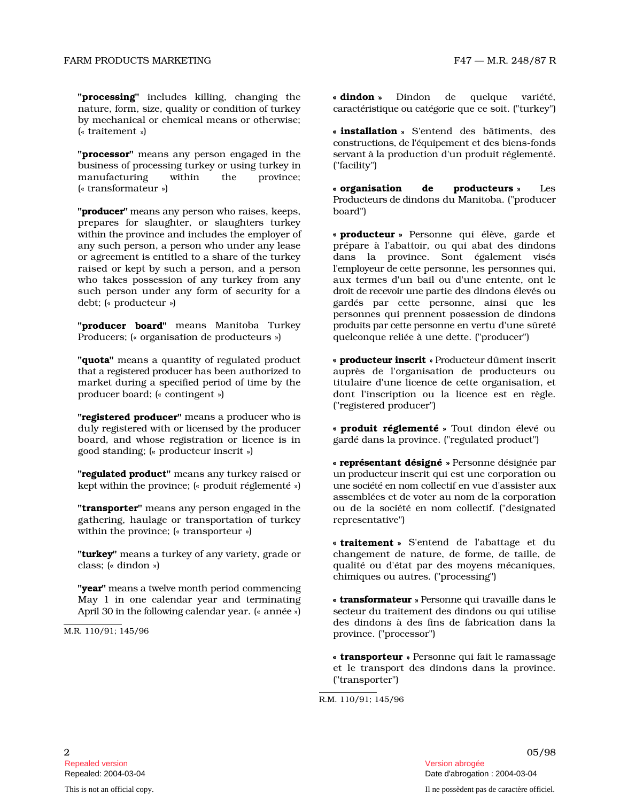nature, form, size, quality or condition of turkey by mechanical or chemical means or otherwise; ( - traitement )

"**processor**" means any person engaged in th b u siness of processing turkey or using turkey in ("facility") m anufacturing wi t h in t he province; ( - transformateur )

"**producer**" means any person who raises, keeps, board") prepares for slaughter, or slaughters turkey wi th i n the province and includes the employer of any s u ch p e r s o n, a p e r s on who u n d er any lease or agreement is entitled to a share of the turk raised or kept by such a person, and a person who takes possession of any turkey from any such person under any form of security for a debt; (« producteur »)

"**producer board**" means Manitoba Turkey Producers; (« organisation de producteurs »)

"**quota**" means a quantity of regulated product that a registered producer has been authorized to auprès market during a specified period of time by the producer board; (« contingent »)

"registered producer" means a producer who is duly registered with or licensed by the producer board, and whose registration or licence is i good standing; (« producteur inscrit »)

**"regulated product"** means any turkey raised or kept within the province; (« produit réglementé »)

"transporter" means any person engaged in the gathering, haulage or transportation of turk within the province;  $(*$  transporteur »)

"**turkey**" means a turkey of any variety, grade or changement class; (« dindon »)

"year" means a twelve month period commencing May 1 in one calendar year and terminating April 30 in the following calendar year. (« année ») dindon D i n d on de quelque v ariété, c ara c t é ri s ti que ou c at é g o rie que ce soit. ("turkey")

« installation » S'entend des bâtiments, des e se rvant à la production d'un produit réglementé. constructions, de l'équipement et des biens-fonds

> organisation de **producteurs** » L Le s Producteurs de dindons du Manitoba. ("producer

processing" includes killing, changing the chance is binded to history include the qualitation is equilible to the state of the state of the state of the state of the state of the state of the state of the state of the st « **producteur** » Personne qui élève, garde et prépare à l'abattoir, ou qui abat des dindons ey dans la p r o vi nce. S o nt é g a l e m e nt visé s l'e m p l oy e ur de ce tte personne, les personnes qui, aux termes d'un bail ou d'une entente, ont le d r o it de recevo ir u ne p artie des dindons élevés ou ) because of gardés par cette personne, ainsi que les p r o d u i ts p ar cette p e r s onn e en vertu d'une sûreté ) quelconque reliée à une dette. ("producer") personnes qui prennent possession de dindons

« **producteur inscrit** » Producteur dûment inscrit de l'organisation de producteurs ou titulaire d'une licence de cette organisation, et dont l'inscription ou la licence est en règle. ("registered producer")

« **produit réglementé** » Tout dindon élevé ou n gardé dans la province. ("regulated product")

un p r o d u c t e ur inscrit qui est une corporation ou u ne s o c i é té en n om c o llectif en vue d'assister aux ou de la société en nom collectif. ("designated representative") « représentant désigné » Personne désignée par a ssemblées et de voter au nom de la corporation

de nature, de forme, de taille, de ) a comme des moyens mécaniques, and the qualité ou d'état par des moyens mécaniques, « traitement » S'entend de l'abattage et du chimiques ou autres. ("processing")

> « transformateur » Personne qui travaille dans le ) sec teur du traitement des dindons ou qui utilise des dindons à des fins de fabrication dans la province. ("processor")

> > « transporteur » Personne qui fait le ramassage et le transport des dindons dans la province. ("transporter")

R.M. 110/91; 145/96

M.R. 110/91; 145/96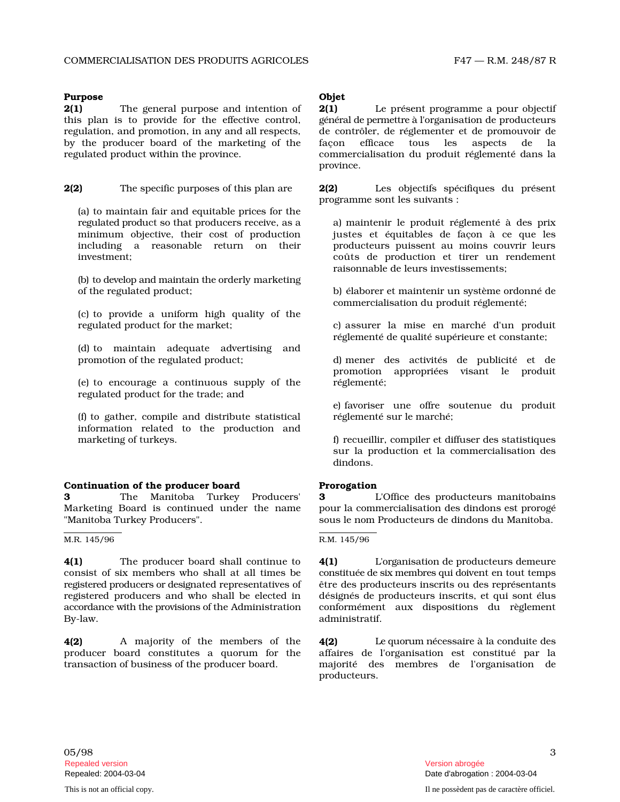### Purpose Objet

2(1) The general purpose and intention o this plan is to provide for the effective control, regulation, and promotion, in any and all respects, by the producer board of the marketing of the regulated product within the province.

2(2) The specific purposes of this plan are 2(2)

(a) to maintain fair and equitable prices for the r e gu l at ed p r o duct so that producers receive, as a minimum objective, their cost of production including a reasonable return on thei investment;

( b ) to deve l op and m ai n t ain the orderly marketing of the regulated product;

(c) to provide a uniform high quality of the regulated product for the market;

(d) to maintain adequate advertising and promotion of the regulated product;

(e) to encourage a continuous supply of the regulated product for the trade; and

(f) to gather, compile and distribute statistica information related to the production and marketing of turkeys.

### Continuation of the producer board Prorogation

3 The Manitoba Turkey Producers' 3 Marketing Board is continued under the nam "Manitoba Turkey Producers". sous le nom Producteurs de dindons du Manitoba.

M.R. 145/96 R.M. 145/96

4(1) The producer board shall continue t c onsist of s ix m e m b e rs who s h all at all t i mes b e registered producers or designated representatives of registered producers and who shall be elected in accordance with the provisions of the Administration conformément By-law. **administratif.** 

4(2) A majority of the members of th producer board constitutes a quorum for the transaction of business of the producer board.

 $2(1)$ Le présent programme a pour objectif général de permettre à l'organisation de producteurs de contrôler, de réglementer et de promouvoir de fa ç o n efficace tous les aspects de la commercialisation du produit réglementé dans la province.

Les objectifs spécifiques du présent programme sont les suivants :

a) maintenir le produit réglementé à des prix justes et équitables de façon à ce que les r producteurs puissent au moins couvrir leurs coûts de production et tirer un rendement raisonnable de leurs investissements;

> b) élaborer et maintenir un système ordonné de commercialisation du produit réglementé;

> c) assurer la mise en marché d'un produit réglementé de qualité supérieure et constante;

> des activités de publicité et de réglementé; promotion appropriées visant le produ i t

> réglementé sur le marché; e) favoriser une offre soutenue du produit

> f) recueillir, compiler et diffuser des statistiques sur la production et la commercialisation des dindons.

des producteurs manitobains e pour la commercialisation des dindons est prorogé

 $4(1)$ L'o rg anisation de producteurs demeure c o n s ti tuée de s ix m e mb res qui d o ivent en tout temps être des producteurs inscrits ou des représentants désignés de producteurs inscrits, et qui sont élus aux dispositions du règlement

 $4(2)$ Le qu o rum nécessaire à la conduite des affaires de l'organisation est constitué par la des membres de l'organisation de producteurs.

05/98 Repealed version abrogée et al. Alian abrogée et al. Alian abrogée et al. Alian abrogée et al. Alian abrogée e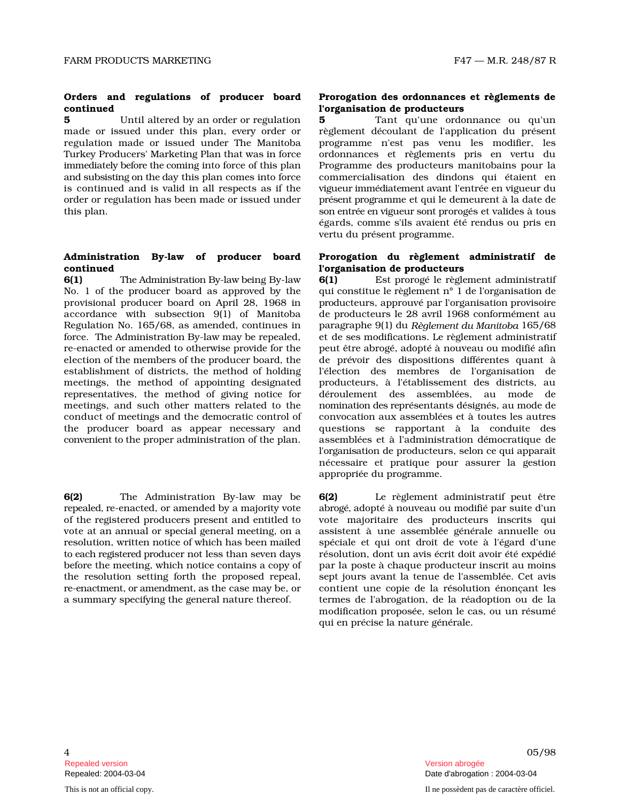## continued l'organisation de producteurs

5 Until altered by an order or regulation 5 made or issued under this plan, every order or regulation made or issued under The Manitob Turkey Producers' Marketing Plan that was in force immediately before the coming into force of this plan Programme and s u b s i s ti ng on the day this plan comes into force is continued and is valid in all respects as if the order or regulation has been made or issued under this plan.

### Administration By-law of producer board continued l'organisation de producteurs

6(1) The Administration By-law being By-law  $6(1)$  Est No. 1 of the producer board as approved by th provisional producer board on April 28, 1968 in accordance with subsection 9(1) of Manitoba Regulation No. 165/68, as amended, continues i force. The Administration By-law may be repealed, re-enacted or amended to otherwise provide for th election of the members of the producer board, the establishment of districts, the method of holdin meetings, the method of appointing designate representatives, the method of giving notice fo meetings, and such other matters related to the conduct of meetings and the democratic control of the producer board as appear necessary and convenient to the proper administration of the plan.

 $6(2)$ Administration By-law may b r e p e al e d, re-enacted, or amended by a majority vote of the registered producers present and entitled to vote at an annual or special general meeting, on resolution, written notice of which has been mailed to each registered producer not less than seven days before t he mee t i n g, which notice contains a copy of the resolution setting forth the proposed repeal re-enactment, or amendment, as the case may be, or a summary specifying the general nature thereof.

a nce ou q u'u n règlement découlant de l'application du présent a programme n'est pas venu les modifier, les et règlements pris en vertu du des producteurs manitobains pour la commercialisation des dindons qui étaient en vi gu e ur imm é d i at e m e nt avant l'entrée en vigueur du p rése nt p r o gramme et qui le demeurent à la date de son entrée en vigueur sont prorogés et valides à tous égards, comme s'ils avaient été rendus ou pris en vertu du présent programme.

## Prorogation du règlement administratif de

Orders and regulates is producer board Proposition des ordonnances et règlements des ordonnances et règlements de règlements de règlements de règlements de règlements de règlements de règlements de règlements de règlement prorogé le règlement administratif e qui constitue le règlement n° 1 de l'organisation de p r o d ucteurs, approuvé par l'organisation provisoire de producteurs le 28 avril 1968 conformément au n paragraphe 9 ( 1) du *Règlement du Manitoba* 165/68 et de ses modifications. Le règlement administratif e peut ê t re a b r o g é, a d o p té à nouveau ou modifié afin de prévoir des dispositions différentes quant à g l'élection des membres de l'organisation de d producteurs, à l'établissement des districts, au r déroulement des assemblées, au mode de n o m i n ati on des r eprésentants désignés, au mode de convocation aux assemblées et à toutes les autres questions se rapportant à la conduite des assemblées et à l'administration démocratique de l'o rg an i sation de producteurs, selon ce qui apparaît nécessaire et pratique pour assurer la gestion appropriée du programme.

 $6(2)$ règlement administratif peut être ab r o g é, adopté à nouveau ou modifié par suite d'un vote majoritaire des producteurs inscrits qui a assistent à une assemblée générale annuelle ou et qui ont droit de vote à l'égard d'une résolution, dont un avis écrit doit avoir été expédié par la poste à chaque producteur inscrit au moins , sept jours avant la tenue de l'assemblée. Cet avis contient une copie de la résolution énonçant les de l'abrogation, de la réadoption ou de la modification proposée, selon le cas, ou un résumé qui en précise la nature générale.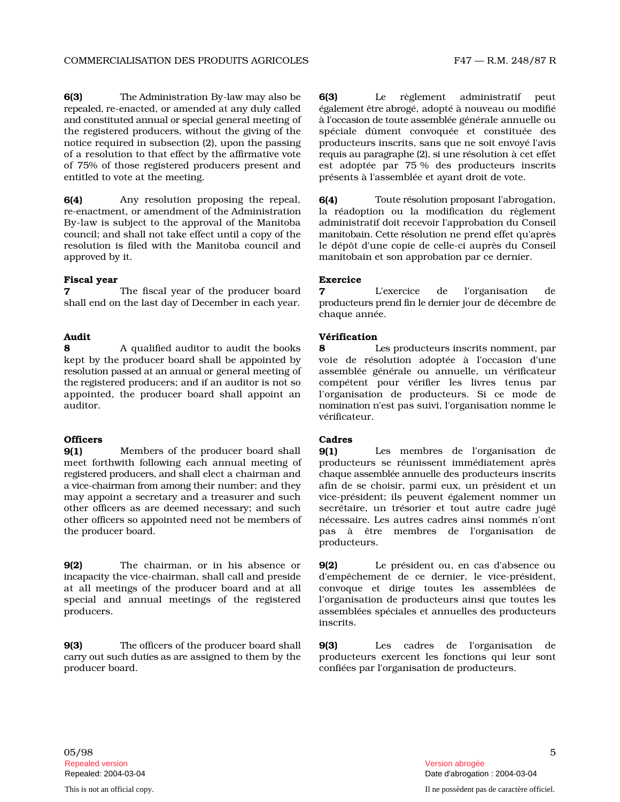6(3) The Administration By-law may also be **6(3)** Le r e p e al e d, re-enacted, or amended at any duly called and constituted annual or special general meeting of  $\quad$  à  $\,$ the registered producers, without the giving of the notice required in subsection (2), upon the passing producteurs of a resolution to that effect by the affirmative vote of 75% of those registered producers present an entitled to vote at the meeting. présents à l'assemblée et ayant droit de vote.

6(4) Any resolution proposing the repeal r e-enactment, or amendment of the Administration la By-law is subject to the approval of the Manitob c o uncil; and shall not take effect until a copy of the resolution is filed with the Manitoba council and approved by it. manitobain et son approbation par ce dernier.

### Fiscal year **Exercice**

7 The fiscal year of the producer board 7 L'exercice shall end on the last day of December in each year.

8 A qualified auditor to audit the books 8 Les producteurs inscrits nomment, par kept by the producer board shall be appointed by voie de résolution adoptée à l'occasion d'une resolution passed at an annual or general meeting of assemblée générale ou annuelle, un vérificateur the registered producers; and if an auditor is not so compétent pour vérifier les livres tenus par appointed, the producer board shall appoint an l'organisation de producteurs. Si ce mode de auditor.

### Officers **Cadres**

9(1) Members of the producer board shal meet forthwith following each annual meeting o registered producers, and shall elect a chairman and a vice - c h ai rm an fr om am o ng their number; and they may appoint a secretary and a treasurer and suc other officers as are deemed necessary; and suc other officers so appointed need not be members of nécessaire. the producer board.

9(2) The chairman, or in his absence o incapacity the vice-chairman, shall call and preside d'empêchement at all meetings of the producer board and at al special and annual meetings of the registered producers. assemblées s péc i a les et ann u elles des p r o d u c t e u r s

9(3) The officers of the producer board shall 9(3) carry out such duties as are assigned to them by the producer board. confiées par l'organisation de producteurs.

règlement administratif peut é g al e m e nt ê tre ab rogé, adopté à nouveau ou modifié l'occasion de toute assemblée générale annuelle ou spéciale dûment convoquée et constituée des inscrits, sans que ne soit envoyé l'avis r e qu is au p aragrap he ( 2 ), si u ne r ésolution à cet effet d est adoptée par 75 % des producteurs inscrits

 $6(4)$ Toute résolution proposant l'abrogation, réadoption ou la modification du règlement a administratif doit recevoir l'approbation du Conseil m an i t o b ai n. C ette r ésolution ne prend effet qu'après le dépôt d'une copie de celle-ci auprès du Conseil

de l'organisation d e producteurs prend fin le dernier jour de décembre de chaque année.

### Audit Vérification

n o m i n ati on n'est pas suivi, l'organisation nomme le vérificateur.

 $9(1)$ membres de l'organisation de f producteurs se réunissent immédiatement après c haque asse mb lée ann u ell e des producteurs inscrits afin de se choisir, parmi eux, un président et un h vice-président; ils peuvent également nommer un h secrétaire, un trésorier et tout autre cadre jugé Les autres cadres ainsi nommés n'ont pas à être membres de l'organisation de producteurs.

 $9(2)$ Le président ou, en cas d'absence ou de ce dernier, le vice-président, l convoque et dirige toutes les assemblées de l'organisation de producteurs ainsi que toutes les inscrits.

Les cadres de l'organisation de producteurs exercent les fonctions qui leur sont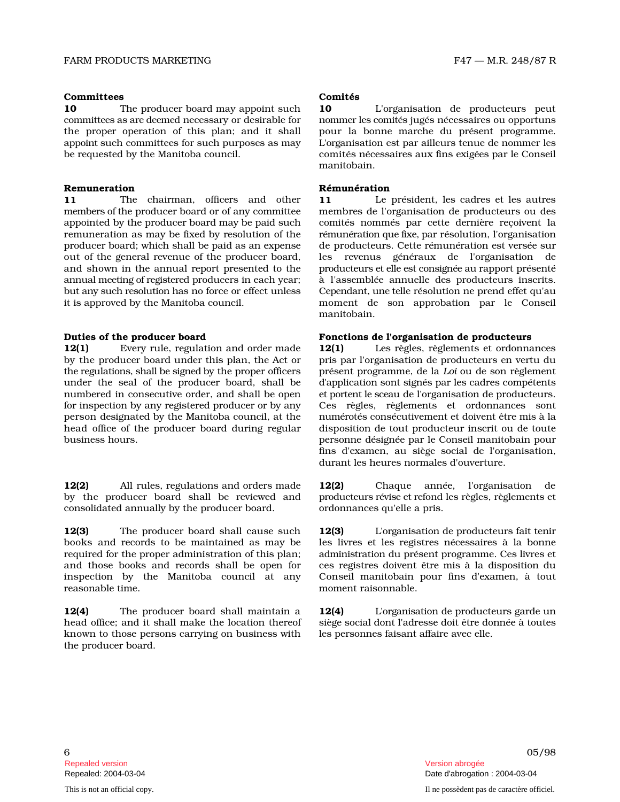### Committees Comités

10 The producer board may appoint suc c omm ittees as are dee m e d necessary or desirable for the proper operation of this plan; and it shall app o i nt such committees for such purposes as may be requested by the Manitoba council.

11 The chairman, officers and othe members of the producer board or of any committee appointed by the producer board may be paid such remuneration as may be fixed by resolution of the producer board; which shall be paid as an expense out of the general revenue of the producer board, and shown in the annual report presented to the ann u al mee ti ng of r e gi s t e r e d producers in each year; but any such resolution has no force or effect unless it is approved by the Manitoba council.

12(1) Every rule, regulation and order mad by the producer board under this plan, the Act o the regulations, shall be signed by the proper officers présent under the seal of the producer board, shall be numbered in consecutive order, and shall be open for inspection by any registered producer or by any person designated by the Manitoba council, at the head office of the producer board during regular business hours.

 $12(2)$ rules, regulations and orders mad by the producer board shall be reviewed and consolidated annually by the producer board. ordonnances qu'elle a pris.

 $12(3)$ producer board shall cause suc books and records to be maintained as may be required for the proper administration of this plan; a n d t h ose boo ks a nd rec o r ds s h all be o p en fo inspection by the Manitoba council at any reasonable time. moment raisonnable.

 $12(4)$ producer board shall maintain head office; and it shall make the location thereo known to those persons carrying on business wit the producer board.

h 10 L'organisation de producteurs peut n omm er les c o m i tés jugés nécessaires ou opportuns pour la bonne marche du présent programme. L'o rganisation est par ailleurs tenue de nommer les comités nécessaires aux fins exigées par le Conseil manitobain.

### Remuneration **Remuneration** Rémunération

r 11 Le président, les cadres et les autres membres de l'organisation de producteurs ou des nommés par cette dernière reçoivent la rémunération que fixe, par résolution, l'organisation de producteurs. Cette rémunération est versée sur les revenus généraux de l'organisation de producteurs et elle est consignée au rapport présenté à l'assemblée annuelle des producteurs inscrits. C e p e n d an t, u ne t e lle résolution ne prend effet qu'au moment de son approbation par le Conseil manitobain.

### Duties of the producer board Fonctions de l'organisation de producteurs

 $12(1)$ règles, règlements et ordonnances r pris par l'organisation de producteurs en vertu du programme, de la *Loi* ou de son règlement d'application sont signés par les cadres compétents et p o rt e nt le sce au de l'organisation de producteurs. Ces règles, règlements et ordonnances sont n u m é r otés consécutivement et doivent être mis à la disposition de tout producteur inscrit ou de toute désignée par le Conseil manitobain pour fins d'examen, au siège social de l'organisation, durant les heures normales d'ouverture.

e 12(2) Chaque année, l'organisation d e p r o d u c t e u rs révise et r efond les règles, règlements et

12(3) L'o rganisation de producteurs fait tenir les livres et les registres nécessaires à la bonne a d m i n i s tration du présent programme. Ces livres et r ces registres doivent être mis à la disposition du Conseil manitobain pour fins d'examen, à tout

 $12(4)$ L'o rg an i s ation de producteurs garde un siège social dont l'adresse doit être donnée à toutes les personnes faisant affaire avec elle.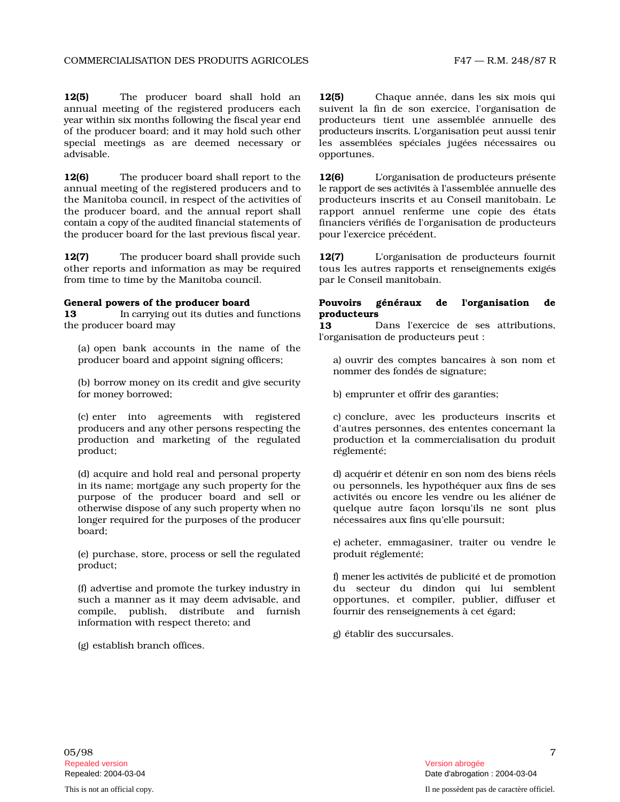$12(5)$ producer board shall hold a annual meeting of the registered producers each y e ar within six months following the fiscal year end producteurs of the producer board; and it may hold such other special meetings as are deemed necessary or advisable. **and a** opportunes.

 $12(6)$ producer board shall report to th annual meeting of the registered producers and to the Manitoba council, in respect of the activities of the producer board, and the annual report shall c o n t ain a c o py of the au d ited financial statements of the producer board for the last previous fiscal year. pour l'exercice précédent.

 $12(7)$ producer board shall provide suc other reports and information as may be required from time to time by the Manitoba council. par le Conseil manitobain.

### General powers of the producer board Pouvoirs

13 In carrying out its duties and functions **producteurs** the producer board may 13

(a) open bank accounts in the name of the producer board and appoint signing officers;

(b) borrow money on its credit and give security for money borrowed; b) emprunter et offrir des garanties;

(c) enter into agreements with registered producers and any other persons respecting the production and marketing of the regulate product; réglementé;

(d) acquire and hold real and personal property in i ts n a m e; m o r t g a ge a ny s u ch property for the purpose of the producer board and sell or otherwise dispose of any such property when no longer requir board;

(e) purchase, store, process or sell the regulated produit réglementé; product;

(f) advertise and promote the turkey industry in such a manner as it may deem advisable, and compile, publish, distribute and furnis information with respect thereto; and

(g) establish branch offices.

n **12(5)** Chaque année, dans les six mois qui suivent la fin de son exercice, l'organisation de tient une assemblée annuelle des producteurs inscrits. L'organisation peut aussi tenir les assemblées spéciales jugées nécessaires ou

12(6) L'organisation de producteurs présente le rapp o rt de ses a c tivi t és à l'assemblée annuelle des producteurs inscrits et au Conseil manitobain. Le rapport annuel renferme une copie des états financiers vérifiés de l'organisation de producteurs

h **12(7)** L'organisation de producteurs fournit tous les autres rapports et renseignements exigés

### néraux de l'organisation d e

Dans l'exercice de ses attributions, l'organisation de producteurs peut :

des comptes bancaires à son nom et nommer des fondés de signature;

c) conclure, avec les producteurs inscrits et d'autres personnes, des ententes concernant la d production et la commercialisation du produit

> d ) a c qu é rir et détenir en son nom des biens réels ou personnels, les hypothéquer aux fins de ses activités ou encore les vendre ou les aliéner de quelque autre façon lorsqu'ils ne sont plus nécessaires aux fins qu'elle poursuit;

> e) acheter, emmagasiner, traiter ou vendre le

du secteur du dindon qui lui semblent opportunes, et compiler, publier, diffuser et fournir des renseignements à cet égard; f) m e n er les a c tivi t és de publicité et de promotion

g) établir des succursales.

05/98 Repealed version abrogée et al. Alian abrogée et al. Alian abrogée et al. Alian abrogée et al. Alian abrogée e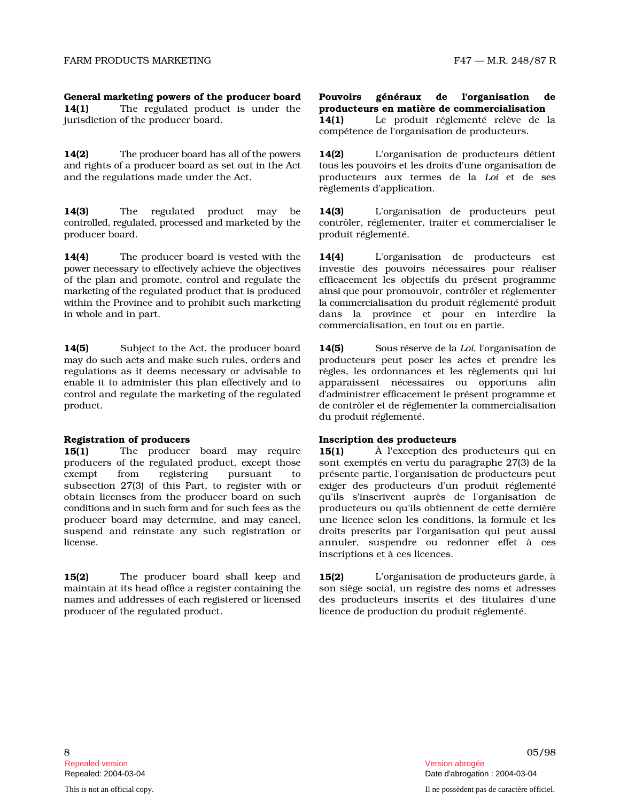14(1) The regulated product is under th jurisdiction of the producer board. 14(1)

14(2) The producer board has all of the powers  $14(2)$ and rights of a producer board as set out in the Act and the regulations made under the Act.

14(3) The regulated product may b controlled, regulated, processed and marketed by the contrôler, producer board. <br> produit réglementé.

 $14(4)$ producer board is vested with th p owe r necessary to effectively achieve the objectives of the plan and promote, control and regulate the m arke ti ng of th e regulated product that is produced within the Province and to prohibit such marketing in whole and in part.

14(5) Subject to the Act, the producer boar may do such acts and make such rules, orders and producteurs regulations as it deems necessary or advisable t enable it to administer this plan effectively and to c ontrol and regulate the marketing of the regulated product.

15(1) The producer board may requir producers of the regulated product, except those exempt fr om registering pursuant t o subsection 27(3) of this Part, to register with o obtain licenses from the producer board on suc conditions and in such form and for such fees as the producer board may determine, and may cancel, suspend and reinstate any such registration o license.

15(2) The producer board shall keep an maintain at its head office a register containing the names and addresses of each registered or licensed producer of the regulated product. licence de production du produit réglementé.

e producteurs en matière de commercialisation Le produit réglementé relève de la compétence de l'organisation de producteurs.

L'organisation de producteurs détient t o us l es pouvoirs et les droits d'une organisation de producteurs aux termes de la Loi et de ses règlements d'application.

e 14(3) L'organisation de producteurs peut réglementer, traiter et commercialiser le

e 14(4) L'organisation de producteurs est investie des pouvoirs nécessaires pour réaliser efficacement les objectifs du présent programme ai n si que p o ur promouvoir, contrôler et réglementer la c omm e r c ialisation du produit réglementé produit dans la province et pour en interdire la commercialisation, en tout ou en partie.

 $14(5)$ S o us réserve de la *Loi*, l'organisation de peut poser les actes et prendre les o règles, les ordonnances et les règlements qui lui apparaissent nécessaires ou opportuns afin d'a d ministrer efficacement le présent programme et d e contrôler et de réglementer la commercialisation du produit réglementé.

### Registration of producers Inscription des producteurs

Sensity of the producer board with the producer board with the producer board in the product board of the product board of the product board of the product board of the product board of the product board of the product bo  $15(1)$ À l'exception des producteurs qui en sont exemptés en vertu du paragraphe 27(3) de la présente partie, l'organisation de producteurs peut r exiger des producteurs d'un produit réglementé h qu'ils s'inscrivent auprès de l'organisation de producteurs ou qu'ils obtiennent de cette dernière une licence selon les conditions, la formule et les r droits prescrits par l'organisation qui peut aussi annuler, suspendre ou redonner effet à ces inscriptions et à ces licences.

 $15(2)$ L'organisation de producteurs garde, à son siège social, un registre des noms et adresses des producteurs inscrits et des titulaires d'une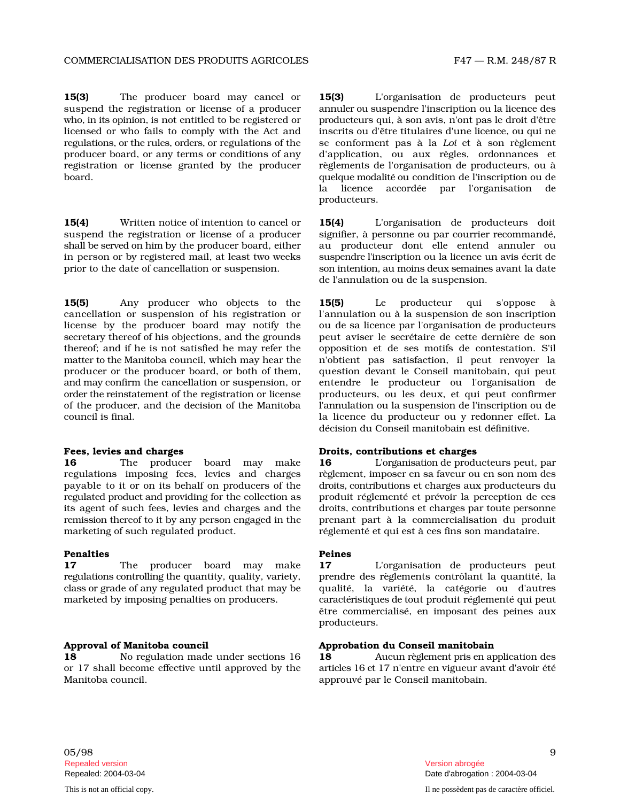$15(3)$ producer board may cancel o suspend the registration or license of a producer wh o, in i ts o p i n i o n, is not entitled to be registered or licensed or who fails to comply with the Act an regulations, or the rules, orders, or regulations of the se producer board, or any terms or conditions of any registration or license granted by the produce board.

15(4) Written notice of intention to cancel o suspend the registration or license of a produce s h all be se rved on h im by the producer board, either in person or by registered mail, at least two weeks prior to the date of cancellation or suspension.

15(5) Any producer who objects to th cancellation or suspension of his registration or license by the producer board may notify the secretary thereof of his objections, and the grounds thereof; and if he is not satisfied he may refer th matter to the Manitoba council, which may hear the n'obtient producer or the producer board, or both of them, and m ay confirm the cancellation or suspension, or o r d er the r e i n s t at e ment of the registration or license of the producer, and the decision of the Manitoba council is final.

16 The producer board may mak regulations imposing fees, levies and charges payable to it or on its behalf on producers of the regulated product and providing for the collection as produit its agent of such fees, levies and charges and th remission thereof to it by any person engaged in the prenant marketing of such regulated product. réglementé et qui est à ces fins son mandataire.

### Penalties Peines

17 The producer board may mak regulations controlling the quantity, quality, variety, prendre c l ass o r grade of any regulated product that may be marketed by imposing penalties on producers.

18 No regulation made under sections 1 or 17 s h all bec o me effec t ive u n til app r oved by t h e Manitoba council. **All inclusive conservative entity of the Consection** approuvé par le Conseil manitobain.

r **15(3)** L'organisation de producteurs peut ann u l er ou suspendre l'inscription ou la licence des producteurs qui, à son avis, n'ont pas le droit d'être d inscrits ou d'ê t re t i t u l a i res d'u ne licence, ou qui ne conforment pas à la *Loi* et à son règlement d'application, ou aux règles, ordonnances et r règlements de l'organisation de producteurs, ou à quelque modalité ou condition de l'inscription ou de la lice nce accordée par l'organisation d e producteurs.

r 15(4) L'organisation de producteurs doit r signifier, à personne ou par courrier recommandé, au producteur dont elle entend annuler ou s u s p e n d re l'i nscription ou la licence un avis écrit de son intention, au moins deux semaines avant la date de l'annulation ou de la suspension.

15(5) Le producteur q ui s'opp ose à l'annulation ou à la suspension de son inscription ou de sa licence par l'organisation de producteurs peut aviser le secrétaire de cette dernière de son e opposition et de ses motifs de contestation. S'il pas satisfaction, il peut renvoyer la question devant le Conseil manitobain, qui peut entendre le producteur ou l'organisation de producteurs, ou les deux, et qui peut confirmer l'ann u lation ou la suspension de l'inscription ou de la licence du producteur ou y redonner effet. La décision du Conseil manitobain est définitive.

### Fees, levies and charges Droits, contributions et charges

e 16 L'o rg an i s ati on de producteurs peut, par r è gl ement, imposer en sa faveur ou en son nom des d r o i t s, c o n tributions et charges aux producteurs du réglementé et prévoir la perception de ces e droits, c o n t r i b u t i o ns et charges par toute personne part à la commercialisation du produit

e 17 L'organisation de producteurs peut des règlements contrôlant la quantité, la qualité, la variété, la catégorie ou d'autres c ara c t é ri s ti ques de tout produit réglementé qui peut être commercialisé, en imposant des peines aux producteurs.

### Approval of Manitoba council Approbation du Conseil manitobain

6 **18** Aucun règlement pris en application des arti c les 16 et 17 n'entre en vigueur avant d'avoir été

05/98 Repealed version Version abrogée 9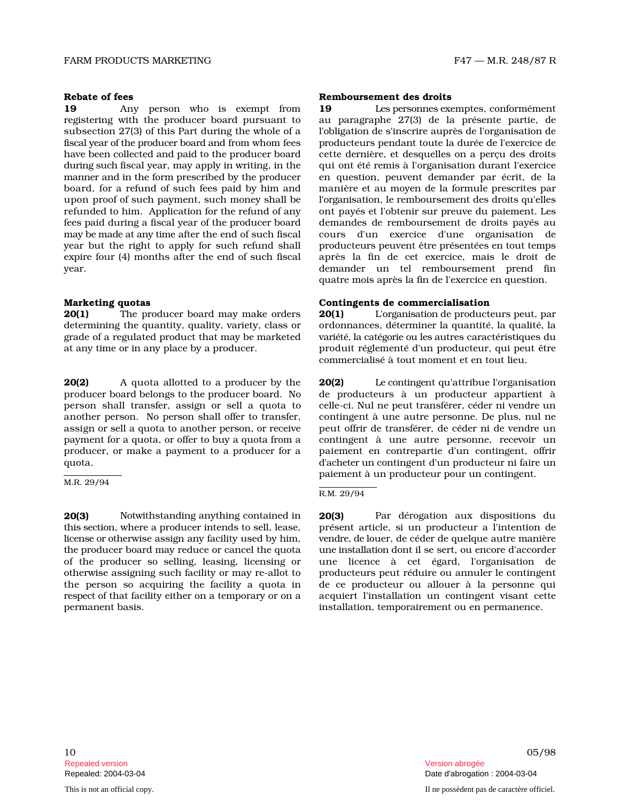19 Any person who is exempt from 19 registering with the producer board pursuant t subsection 27(3) of this Part during the whole of a fisc al y e ar of the p r o d ucer b o ard an d from whom fees have been collected and paid to the producer board d u ri ng s u ch fiscal year, may apply in writing, in the m ann er and in the form prescribed by the producer board, for a refund of such fees paid by him and upon proof of such payment, such money shall be refunded to him. Application for the refund of any fees p a id d u r i ng a fisc al y e ar of the producer board may be made at any time after the end of such fiscal year but the right to apply for such refund shal expire four (4) months after the end of such fiscal

 $20(1)$ producer board may make order determining the quantity, quality, variety, class or grade of a regulated product that may be marketed at any time or in any place by a producer.

20(2) A quota allotted to a producer by th producer board belongs to the producer board. N person shall transfer, assign or sell a quota t another person. No person shall offer to transfer, assign or sell a quota to another person, or receive payment for a quota, or offer to buy a quota from a contingent à producer, or make a payment to a producer for a quota.

M.R. 29/94

20(3) Notwithstanding anything contained in **20(3)** Par th is sec ti on, where a producer intends to sell, lease, lice nse or o therwise assign any facility used by him, ve th e producer board may reduce or cancel the quota of the producer so selling, leasing, licensing or otherwise assigning such facility or may re-allot t the person so acquiring the facility a quota i res pect of that facility either on a temporary or on a permanent basis. installation, temporairement ou en permanence.

### Rebate of fees and the contract of fees and the Remboursement des droits and Remboursement des droits

Les p e r s onnes exemptes, conformément o au paragraphe 27(3) de la présente partie, de l'obligation de s'inscrire auprès de l'organisation de p roducteurs pendant toute la durée de l'exercice de tte dernière, et desquelles on a perçu des droits qui ont été remis à l'organisation durant l'exercice en question, peuvent demander par écrit, de la manière et au moyen de la formule prescrites par l'o rg an isation, le remboursement des droits qu'elles ont payés et l'obtenir sur preuve du paiement. Les demandes de remboursement de droits payés au cours d'un exercice d'une organisation de l producteurs p e uve nt ê t re présentées en tout temps après la fin de cet exercice, mais le droit de year. The contract of the contract of the contract of the contract of the contract of the contract of the control of the contract of the contract of the contract of the contract of the contract of the contract of the contr quatre mois après la fin de l'exercice en question.

### Marketing quotas Contingents de commercialisation

 $20(1)$ L'o rg an i s ati on de producteurs peut, par ordonnances, déterminer la quantité, la qualité, la variété, la catégorie ou les autres caractéristiques du produit réglementé d'un producteur, qui peut être commercialisé à tout moment et en tout lieu.

e 20(2) Le contingent qu'attribue l'organisation o de producteurs à un producteur appartient à o celle-ci. Nul ne peut transférer, céder ni vendre un contingent à une autre personne. De plus, nul ne peut offrir de transférer, de céder ni de vendre un une autre personne, recevoir un paiement en contrepartie d'un contingent, offrir d'a c h e t er un contingent d'un producteur ni faire un paiement à un producteur pour un contingent.

### R.M. 29/94

dérogation aux dispositions du présent article, si un producteur a l'intention de n d r e, de louer, de céder de quelque autre manière u ne i n s t all ati on dont il se sert, ou encore d'accorder une licence à cet égard, l'organisation de o producteurs peut réduire ou annuler le contingent n de ce producteur ou allouer à la personne qui acquiert l'installation un contingent visant cette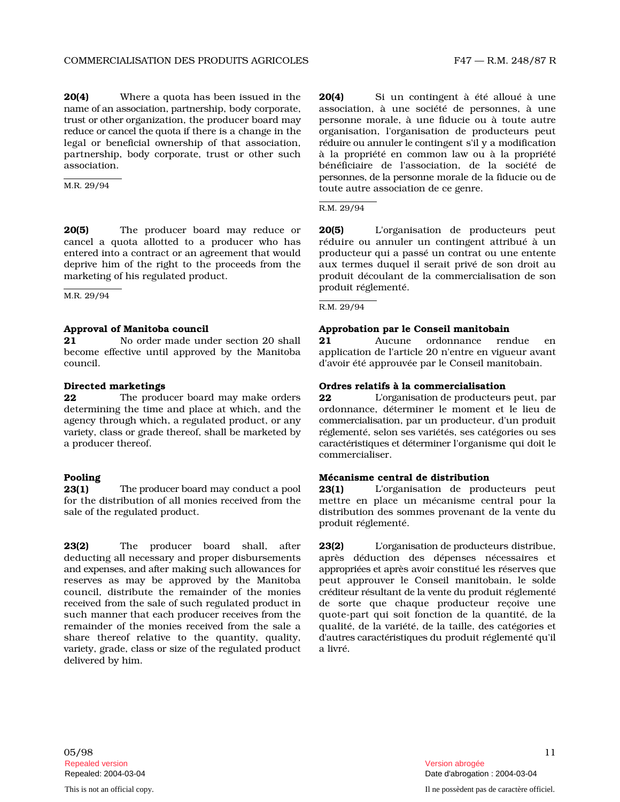20(4) Where a quota has been issued in th name of an association, partnership, body corporate, association, à tru s t or o th er organization, the producer board may personne reduce or cancel the quota if there is a change in the organisation, legal or beneficial ownership of that association, partnership, body corporate, trust or other such association.

M.R. 29/94

20(5) The producer board may reduce o cancel a quota allotted to a producer who has entered into a contract or an agreement that would deprive him of the right to the proceeds from the marketing of his regulated product.

M.R. 29/94

**21** No order made under section 20 shal become effective until approved by the Manitoba council. d'avoir été approuvée par le Conseil manitobain.

**22** The producer board may make order determining the time and place at which, and the agency through which, a regulated product, or any vari e ty, class or grade thereof, shall be marketed by a producer thereof.

23(1) The producer board may conduct a pool  $23(1)$  L'organisation for the distribution of all monies received from the sale of the regulated product.

23(2) The producer board shall, afte deducting all necessary and proper disbursement and exp e nses, and after making such allowances for reserves as may be approved by the Manitoba council, distribute the remainder of the monies received from the sale of such regulated product i such manner that each producer receives from the remainder of the monies received from the sale a share thereof relative to the quantity, quality, vari e ty, grade, class or size of the regulated product a livré. delivered by him.

 $20(4)$ Si un contingent à été alloué à une une société de personnes, à une morale, à une fiducie ou à toute autre l'organisation de producteurs peut réduire ou annuler le contingent s'il y a modification à la propriété en common law ou à la propriété bénéficiaire de l'association, de la société de p e r s onnes, de la p e r s onne morale de la fiducie ou de toute autre association de ce genre.

R.M. 29/94

r **20(5)** L'organisation de producteurs peut réduire ou annuler un contingent attribué à un producteur qui a passé un contrat ou une entente aux termes duquel il serait privé de son droit au produit découlant de la commercialisation de son produit réglementé.

R.M. 29/94

### Approval of Manitoba council Approbation par le Conseil manitobain

21 Aucune ordonnance rendue e en application de l'article 20 n'entre en vigueur avant

### Directed marketings Ordres relatifs à la commercialisation

22 L'o rg an i s ati on de producteurs peut, par ordonnance, déterminer le moment et le lieu de commercialisation, par un producteur, d'un produit r é gl e m enté, selon ses variétés, ses catégories ou ses caractéristiques et déterminer l'organisme qui doit le commercialiser.

### Pooling Mécanisme central de distribution

de producteurs peut mettre en place un mécanisme central pour la des sommes provenant de la vente du produit réglementé.

 $23(2)$ L'o rg an i s ati on de p r o d u cteurs distribue, s après déduction des dépenses nécessaires et appropriées et après avoir constitué les réserves que peut approuver le Conseil manitobain, le solde c r é d i t e ur rés u l t ant de la ve n te du produit réglementé n de sorte que chaque producteur reçoive une quote-part qui soit fonction de la quantité, de la qualité, de la variété, de la taille, des catégories et d'autres caractéristiques du produit réglementé qu'il

 $05/98$  and  $11$ Repealed version Version abrogée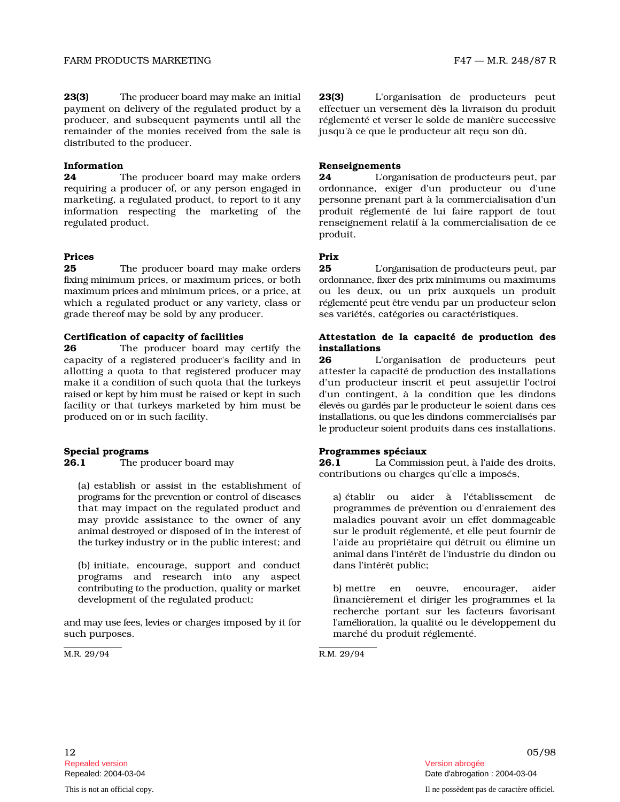distributed to the producer.

23(3)

**24** The producer board may make order requiring a producer of, or any person engaged i marketing, a regulated product, to report to it a information respecting the marketing of th regulated product.

### Prices **Prices**

**25** The producer board may make order fixing minimum prices, or maximum prices, or both maximum prices and minimum prices, or a price, at ou which a regulated product or any variety, class or grade thereof may be sold by any producer. ses variétés, catégories ou caractéristiques.

### Certification of capacity of facilities

26 The producer board may certify th capacity of a registered producer's facility and i allotting a quota to that registered producer may make it a condition of such quota that the turkeys raised or ke pt by h im m u st be raised or kept in such d'un facility or that turkeys marketed by him must be produced on or in such facility.

26.1 The producer board may 26.1

(a) establish or assist in the establishment of p r o gram s for the p reve n ti on or control of diseases a) établir that may impact on the regulated product an may provide assistance to the owner of any an i m al des the tu rkey i ndustry or in the public interest; and

(b) initiate, encourage, support and conduc programs and research into any aspect contributing to the production, quality or market b) mettre development of the regulated product;

and m ay use fees, levies or charges imposed by it for such purposes. marché du produit réglementé.

ake an initial 23(3) later L'organisation de producteurs peut effectuer un versement dès la livraison du produit e éréglementé et verser le solde de manière successive jusqu'à ce que le producteur ait reçu son dû.

### Information Renseignements

24 L'o rg an i s ati on de producteurs peut, par n ordonnance, exiger d'un producteur ou d'une ny personne prenant part à la commercialisation d'un e produit réglementé de lui faire rapport de tout renseignement relatif à la commercialisation de ce produit.

s 25 L'o rg an i s ati on de producteurs peut, par ordonnance, fixer des prix minimums ou maximums les deux, ou un prix auxquels un produit r é gl e m e n té p e ut ê tre vendu par un producteur selon

### Attestation de la capacité de production des installations

n 26 L'organisation de producteurs peut attester la capacité de production des installations d'un producteur inscrit et peut assujettir l'octroi contingent, à la condition que les dindons é levés ou g ar dés p ar le p r o ducteur le soient dans ces i n s t all ati o n s, ou que les d indons commercialisés par le producteur soient produits dans ces installations.

### Special programs and the extended programmes spéciaux

La Commission peut, à l'aide des droits, contributions ou charges qu'elle a imposés,

ou aider à l'établissement de d programmes de prévention ou d'enraiement des maladies pouvant avoir un effet dommageable sur le produit réglementé, et elle peut fournir de l'aide au propriétaire qui détruit ou élimine un dans l'intérêt public; animal dans l'intérêt de l'industrie du dindon ou

> en oeuvre, encourager, a i d e r financièrement et diriger les programmes et la l'am éli o ration, la qualité ou le développement du recherche portant sur les facteurs favorisant

M.R. 29/94 R.M. 29/94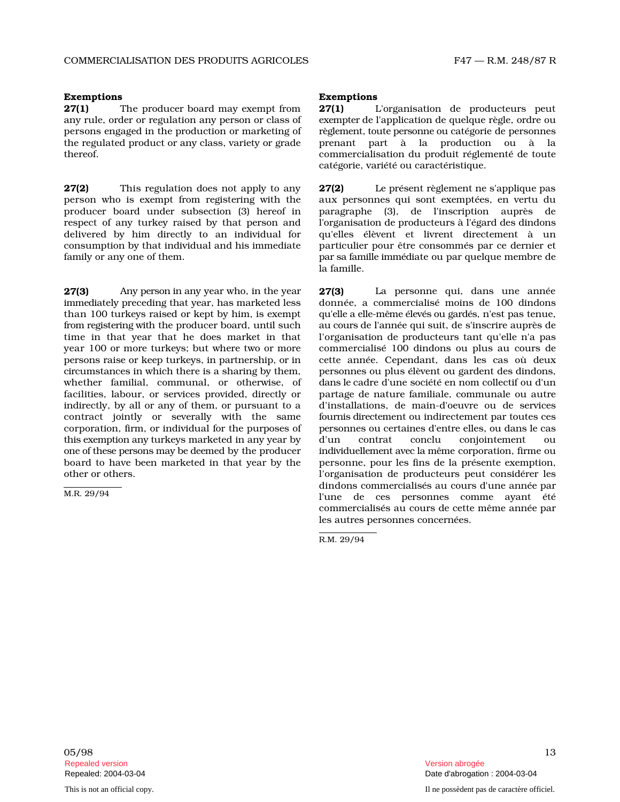### Exemptions Exemptions

27(1) The producer board may exempt fro any rule, order or regulation any person or class of persons engaged in the production or marketing of the regulated product or any class, variety or grade prenant thereof.

27(2) This regulation does not apply to a person who is exempt from registering with the producer board under subsection (3) hereof i respect of any turkey raised by that person and delivered by him directly to an individual fo consumption by that individual and his immediate family or any one of them.

27(3) Any person in any year who, in the year 27(3) La imm e d i ately preceding that year, has marketed less than 100 turkeys raised or kept by him, is exempt from registering with the producer board, until such time in that year that he does market in that year 100 or more turkeys; but where two or more persons r a ise or keep turkeys, in partnership, or in cette c i rcumstances in which there is a sharing by them, personnes whether familial, communal, or otherwise, of facilities, labour, or services provided, directly or indirectly, by all or any of them, or pursuant to a contract jointly or severally with the same corporation, firm, or individual for the purposes of th is exe m p ti on any turkeys marketed in any year by o ne of these p e r s o ns m ay be dee med by the producer board to have been marketed in that year by the other or others.

M.R. 29/94

m **27(1)** L'organisation de producteurs peut exe m p t er de l'application de quelque règle, ordre ou règlement, toute personne ou catégorie de personnes part à la production ou à la commercialisation du produit réglementé de toute catégorie, variété ou caractéristique.

 $27(2)$ p rése nt règlement ne s'applique pas aux personnes qui sont exemptées, en vertu du n paragraphe (3), de l'inscription auprès de l'organisation de producteurs à l'égard des dindons r qu'elles élèvent et livrent directement à un particulier pour être consommés par ce dernier et p ar sa famille imm é diate ou par quelque membre de la famille.

personne qui, dans une année donnée, a commercialisé moins de 100 dindons qu'elle a ell e - m ê me é levés ou g ar dés, n'est pas tenue, au c o u rs de l'année qui suit, de s'inscrire auprès de l'organisation de producteurs tant qu'elle n'a pas commercialisé 100 dindons ou plus au cours de année. Cependant, dans les cas où deux ou p l us é lève nt ou g a r d e nt des dindons, d ans le cadre d'une société en nom collectif ou d'un partage de nature familiale, communale ou autre d'installations, de main-d'oeuvre ou de services fournis directement ou indirectement par toutes ces p ersonnes ou certaines d'entre elles, ou dans le cas d'un contrat c o n c lu conjointement o u i n d ivi d u ell e m e nt avec la m ême corporation, firme ou personne, pour les fins de la présente exemption, l'organisation de producteurs peut considérer les dindons commercialisés au cours d'une année par l'une de ces personnes comme ayant été commercialisés au cours de cette même année par les autres personnes concernées.

R.M. 29/94

 $05/98$  and  $13$ Repealed version abrogée et al. Alian abrogée et al. Alian abrogée et al. Alian abrogée et al. Alian abrogée e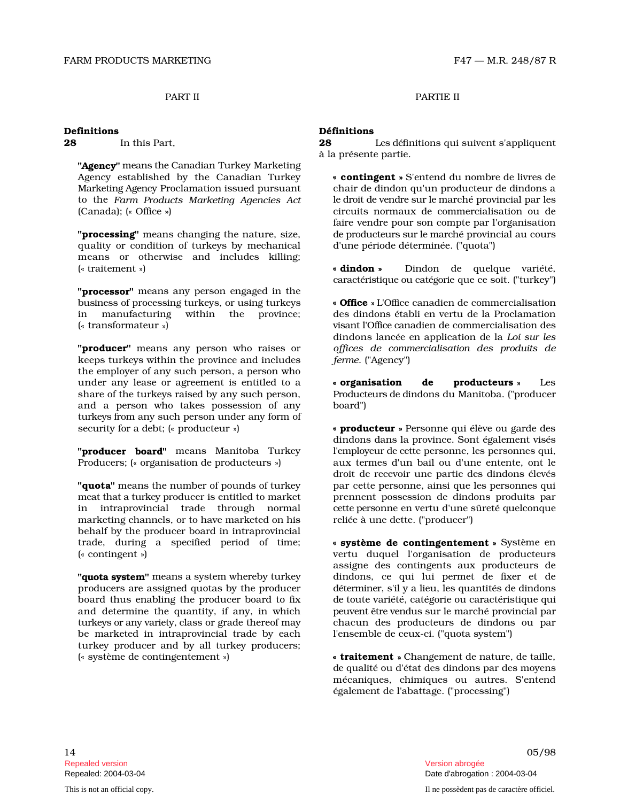### Definitions Définitions

28 In this Part 28

"Agency" means the Canadian Turkey Marketing Agency established by the Canadian Turkey M arke ti ng Ag e n cy Proclamation issued pursuant to the Farm Products Marketing Agencies Act (Canada); (« Office »)

"**processing**" means changing the nature, size, quality or condition of turkeys by mechanica means or otherwise and includes killing; (« traitement »)

"processor" means any person engaged in the b u s i ness of processing turkeys, or using turkeys in manufacturing within the province; ( - transformateur )  $\mathbf{r}$ 

"**producer**" means any person who raises or keeps turkeys within the province and include the employer of any such person, a person who under any lease or agreement is entitled to a share of the turkeys raised by any such person, and a person who takes possession of a tu rkeys from any such person under any form of security for a debt; (« producteur »)

"**producer board**" means Manitoba Turkey Producers; (« organisation de producteurs »)

"quota" means the number of pounds of turkey m e at th at a tu rkey producer is entitled to market in intraprovincial trade through norma marketing channels, or to have marketed on his reliée à une dette. ("producer") behalf by the producer board in intraprovincial trade, during a specified period of time; ( - contingent ) ve

"**quota system**" means a system whereby turkey producers are assigned quotas by the producer board thus enabling the producer board to fix and determine the quantity, if any, in which turkeys or any variety, class or grade thereof may be marketed in intraprovincial trade by eac turkey producer and by all turkey producers; ( - système de contingentement )

PART II PARTIE II

Les d éfinitions qui suivent s'appliquent à la présente partie.

« contingent » S'entend du nombre de livres de chair de dindon qu'un producteur de dindons a le droit de vendre sur le marché provincial par les circuits normaux de commercialisation ou de de producteurs sur le marché provincial au cours l d'une période déterminée. ("quota") faire vendre pour son compte par l'organisation

 dindon Dindon de quelque variété, caractéristique ou catégorie que ce soit. ("turkey")

« **Office** » L'Office canadien de commercialisation des dindons établi en vertu de la Proclamation vi s ant l'Office c anadien de commercialisation des *offices de c omme rc i alis a t ion des p ro d u i ts d e* s *ferme*. ("Agency") dindons lancée en application de la *Loi sur les* 

 organisation de **producteurs** » L Le s Producteurs de dindons du Manitoba. ("producer board")

« **producteur** » Personne qui élève ou garde des l'e m p l oy e ur de ce tte personne, les personnes qui, aux termes d'un bail ou d'une entente, ont le par cette personne, ainsi que les personnes qui prennent possession de dindons produits par l cette p e r sonne en vertu d'une sûreté quelconque dindons dans la province. Sont également visés droit de recevoir une partie des dindons élevés

> système de contingentement » Système en rtu duquel l'organisation de producteurs dindons, ce qui lui permet de fixer et de d é t e rm i n e r, s'il y a lieu, les quantités de dindons d e toute variété, catégorie ou caractéristique qui p e uve nt ê tre ve n d u s sur le marché provincial par chacun des producteurs de dindons ou par l'ensemble de ceux-ci. ("quota system") assigne des contingents aux producteurs de

> « traitement » Changement de nature, de taille, d e qualité ou d'état des dindons par des moyens mécaniques, chimiques ou autres. S'entend également de l'abattage. ("processing")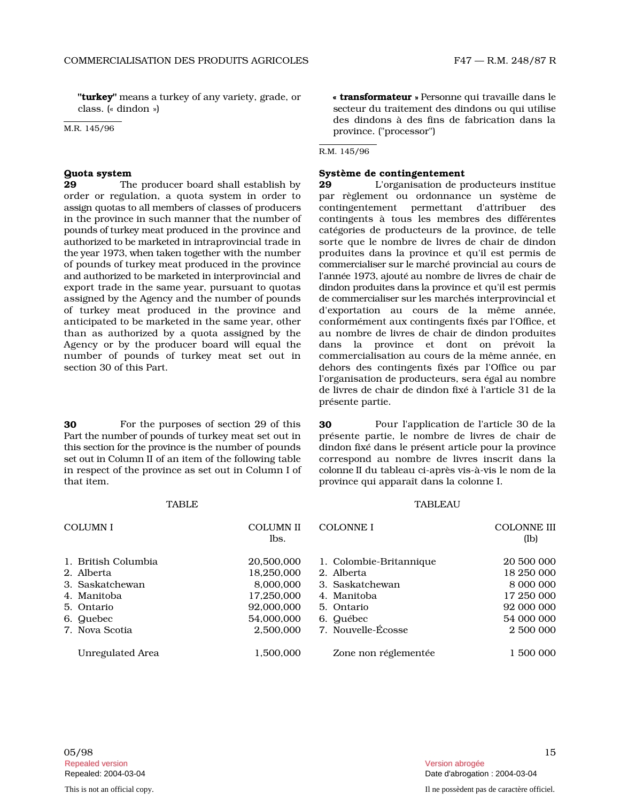class. (« dindon ») ) sec

### R.M. 145/96

### Quota system Système de contingentement

### TABLE TABLE

| " <b>turkey</b> " means a turkey of any variety, grade, or<br>class. (« dindon »)<br>M.R. 145/96                                                                                                                                                                                                                                                                                                                                                                                                                                                                                                                                                                                                                                                                                                                                                                                                               |                                                                                                           | « transformateur » Personne qui travaille dans le<br>secteur du traitement des dindons ou qui utilise<br>des dindons à des fins de fabrication dans la<br>province. ("processor")                                                                                                                                                                                                                                                                                                                                                                                                                                                                                                                                                                                                                                                                                                                                                                                                                                                                                              |                                                                                                           |
|----------------------------------------------------------------------------------------------------------------------------------------------------------------------------------------------------------------------------------------------------------------------------------------------------------------------------------------------------------------------------------------------------------------------------------------------------------------------------------------------------------------------------------------------------------------------------------------------------------------------------------------------------------------------------------------------------------------------------------------------------------------------------------------------------------------------------------------------------------------------------------------------------------------|-----------------------------------------------------------------------------------------------------------|--------------------------------------------------------------------------------------------------------------------------------------------------------------------------------------------------------------------------------------------------------------------------------------------------------------------------------------------------------------------------------------------------------------------------------------------------------------------------------------------------------------------------------------------------------------------------------------------------------------------------------------------------------------------------------------------------------------------------------------------------------------------------------------------------------------------------------------------------------------------------------------------------------------------------------------------------------------------------------------------------------------------------------------------------------------------------------|-----------------------------------------------------------------------------------------------------------|
|                                                                                                                                                                                                                                                                                                                                                                                                                                                                                                                                                                                                                                                                                                                                                                                                                                                                                                                |                                                                                                           | R.M. 145/96                                                                                                                                                                                                                                                                                                                                                                                                                                                                                                                                                                                                                                                                                                                                                                                                                                                                                                                                                                                                                                                                    |                                                                                                           |
| <b>Quota system</b><br>29<br>The producer board shall establish by<br>order or regulation, a quota system in order to<br>assign quotas to all members of classes of producers<br>in the province in such manner that the number of<br>pounds of turkey meat produced in the province and<br>authorized to be marketed in intraprovincial trade in<br>the year 1973, when taken together with the number<br>of pounds of turkey meat produced in the province<br>and authorized to be marketed in interprovincial and<br>export trade in the same year, pursuant to quotas<br>assigned by the Agency and the number of pounds<br>of turkey meat produced in the province and<br>anticipated to be marketed in the same year, other<br>than as authorized by a quota assigned by the<br>Agency or by the producer board will equal the<br>number of pounds of turkey meat set out in<br>section 30 of this Part. |                                                                                                           | Système de contingentement<br>L'organisation de producteurs institue<br>29<br>par règlement ou ordonnance un système de<br>contingentement<br>permettant<br>d'attribuer<br>des<br>contingents à tous les membres des différentes<br>catégories de producteurs de la province, de telle<br>sorte que le nombre de livres de chair de dindon<br>produites dans la province et qu'il est permis de<br>commercialiser sur le marché provincial au cours de<br>l'année 1973, ajouté au nombre de livres de chair de<br>dindon produites dans la province et qu'il est permis<br>de commercialiser sur les marchés interprovincial et<br>d'exportation au cours de la même année,<br>conformément aux contingents fixés par l'Office, et<br>au nombre de livres de chair de dindon produites<br>la province et dont on prévoit la<br>dans<br>commercialisation au cours de la même année, en<br>dehors des contingents fixés par l'Office ou par<br>l'organisation de producteurs, sera égal au nombre<br>de livres de chair de dindon fixé à l'article 31 de la<br>présente partie. |                                                                                                           |
| 30<br>For the purposes of section 29 of this<br>Part the number of pounds of turkey meat set out in<br>this section for the province is the number of pounds<br>set out in Column II of an item of the following table<br>in respect of the province as set out in Column I of<br>that item.                                                                                                                                                                                                                                                                                                                                                                                                                                                                                                                                                                                                                   |                                                                                                           | 30<br>Pour l'application de l'article 30 de la<br>présente partie, le nombre de livres de chair de<br>dindon fixé dans le présent article pour la province<br>correspond au nombre de livres inscrit dans la<br>colonne II du tableau ci-après vis-à-vis le nom de la<br>province qui apparaît dans la colonne I.                                                                                                                                                                                                                                                                                                                                                                                                                                                                                                                                                                                                                                                                                                                                                              |                                                                                                           |
| <b>TABLE</b>                                                                                                                                                                                                                                                                                                                                                                                                                                                                                                                                                                                                                                                                                                                                                                                                                                                                                                   |                                                                                                           | <b>TABLEAU</b>                                                                                                                                                                                                                                                                                                                                                                                                                                                                                                                                                                                                                                                                                                                                                                                                                                                                                                                                                                                                                                                                 |                                                                                                           |
| <b>COLUMNI</b>                                                                                                                                                                                                                                                                                                                                                                                                                                                                                                                                                                                                                                                                                                                                                                                                                                                                                                 | <b>COLUMN II</b><br>lbs.                                                                                  | <b>COLONNE I</b>                                                                                                                                                                                                                                                                                                                                                                                                                                                                                                                                                                                                                                                                                                                                                                                                                                                                                                                                                                                                                                                               | <b>COLONNE III</b><br>(lb)                                                                                |
| 1. British Columbia<br>2. Alberta<br>3. Saskatchewan<br>4. Manitoba<br>5. Ontario<br>6. Quebec<br>7. Nova Scotia<br>Unregulated Area                                                                                                                                                                                                                                                                                                                                                                                                                                                                                                                                                                                                                                                                                                                                                                           | 20,500,000<br>18,250,000<br>8,000,000<br>17,250,000<br>92,000,000<br>54,000,000<br>2,500,000<br>1,500,000 | 1. Colombie-Britannique<br>2. Alberta<br>3. Saskatchewan<br>4. Manitoba<br>5. Ontario<br>6. Québec<br>7. Nouvelle-Écosse<br>Zone non réglementée                                                                                                                                                                                                                                                                                                                                                                                                                                                                                                                                                                                                                                                                                                                                                                                                                                                                                                                               | 20 500 000<br>18 250 000<br>8 000 000<br>17 250 000<br>92 000 000<br>54 000 000<br>2 500 000<br>1 500 000 |
| 05/98                                                                                                                                                                                                                                                                                                                                                                                                                                                                                                                                                                                                                                                                                                                                                                                                                                                                                                          |                                                                                                           |                                                                                                                                                                                                                                                                                                                                                                                                                                                                                                                                                                                                                                                                                                                                                                                                                                                                                                                                                                                                                                                                                | 15                                                                                                        |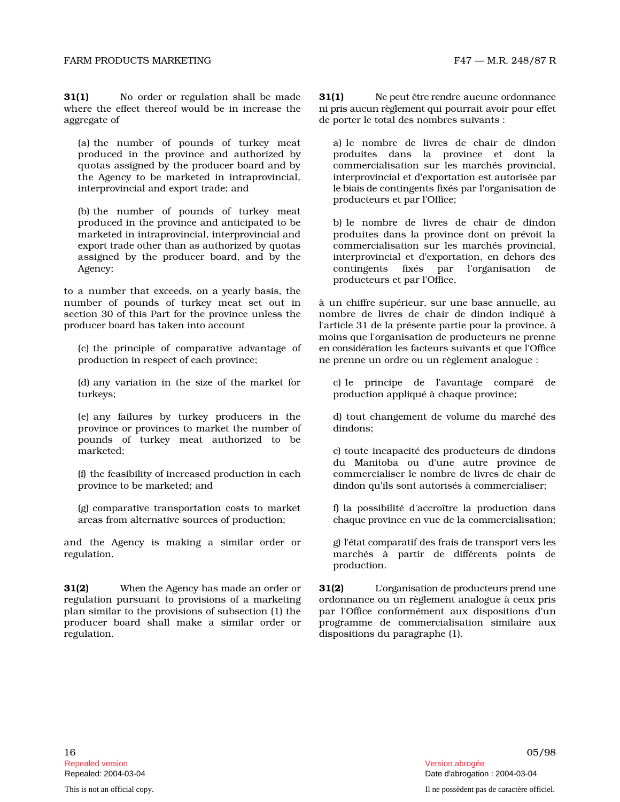31(1) No order or regulation shall be mad where the effect thereof would be in increase the aggregate of de porter le total des nombres suivants :

(a) the number of pounds of turkey meat produced in the province and authorized b quotas assigned by the producer board and by the Agency to be marketed in intraprovincial, interprovincial and export trade; and

(b) the number of pounds of turkey meat produced in the province and anticipated to be marketed in intraprovincial, interprovincial and export trade other than as authorized by quotas assigned by the producer board, and by th Agency;

to a number that exceeds, on a yearly basis, the number of pounds of turkey meat set out in section 30 of this Part for the province unless the producer board has taken into account

(c) the principle of comparative advantage of production in respect of each province; ne prenne un ordre ou un règlement analogue :

(d) any variation in the size of the market for turkeys; production appliqué à chaque province;

(e) any failures by turkey producers in the province or provinces to market the number o pounds of turkey meat authorized to be  $m$ arketed:

( f) the feasibility of increased production in each province to be marketed; and dindon qu'ils sont autorisés à commercialiser;

(g) comparative transportation costs to market areas from alternative sources of production;

and the Agency is making a similar order or regulation.

31(2) When the Agency has made an order or  $31(2)$ regulation pursuant to provisions of a marketing plan similar to the provisions of subsection (1) the producer board shall make a similar order or regulation. dispositions du paragraphe (1).

 $31(1)$ Ne peut être rendre aucune ordonnance ni p ris au c un r è gl e m e nt qui pourrait avoir pour effet

de d i n d o n y broduites dans la province et dont la commercialisation sur les marchés provincial, i nterprovincial et d'exportation est autorisée par le b i ais d e contingents fixés par l'organisation de producteurs et par l'Office;

b) le nombre de livres de chair de dindon produites dans la province dont on prévoit la commercialisation sur les marchés provincial, e interprovincial et d'exportation, en dehors des c o ntingents fixés par l'organisation de producteurs et par l'Office,

à un chiffre supérieur, sur une base annuelle, au nombre de livres de chair de dindon indiqué à la p rése n te p a r t ie pour la province, à en c o n s i d é rati o n les facteurs suivants et que l'Office moins que l'organisation de producteurs ne prenne

c) le principe de l'avantage comparé de

c hé d e s dindons:

incapacité des producteurs de dindons c omm e rcialiser le n o m b re de livres de c h a ir d e du Manitoba ou d'une autre province de

f) la possibilité d'accroître la production dans c haque p rovince en vue de la commercialisation;

g) l'é t at c o m paratif des frais de transport vers les marchés à partir de différents points de production.

L'organisation de producteurs prend une ordonnance ou un règlement analogue à ceux pris par l'Office conformément aux dispositions d'un programme de commercialisation similaire aux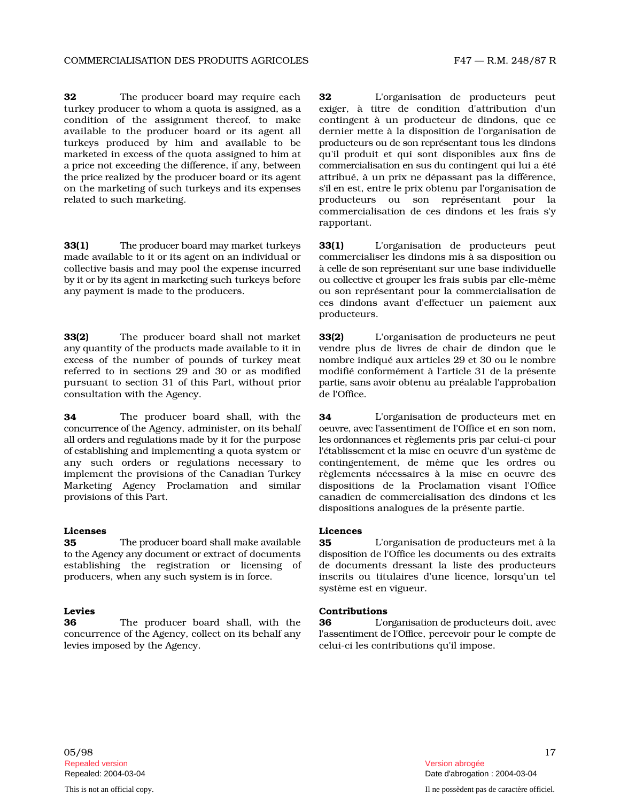**32** The producer board may require eac turkey producer to whom a quota is assigned, as condition of the assignment thereof, to make available to the producer board or its agent all turkeys produced by him and available to be marketed in excess of the quota assigned to him at qu'il a price not exceeding the difference, if any, between th e p rice r ealized by the producer board or its agent attribué, à on the marketing of such turkeys and its expenses related to such marketing.

33(1) The p r o d ucer b o ard m ay m arke m ade available to it or its agent on an individual or commercialiser collective basis and may pool the expense incurre by it or by its agent in marketing such turkeys before any payment is made to the producers.

33(2) The producer board shall not marke any quantity of the products made available to it in excess of the number of pounds of turkey mea referred to in sections 29 and 30 or as modified pursuant to section 31 of this Part, without prior consultation with the Agency. de l'Office.

34 The producer board shall, with th c o n c urr e nce of the Agency, administer, on its behalf all orders and regulations made by it for the purpose of es t abli s h i ng and implementing a quota system or any such orders or regulations necessary t implement the provisions of the Canadian Turkey Marketing Agency Proclamation and simila provisions of this Part.

35 The p r o d ucer b o ard s h all m ake to the Agency any document or extract of documents establishing the registration or licensing o producers, when any such system is in force.

36 The producer board shall, with th c oncurrence of the Agency, collect on its behalf any levies imposed by the Agency. celui-ci les contributions qu'il impose.

h **32** L'organisation de producteurs peut a exiger, à titre de condition d'attribution d'un contingent à un producteur de dindons, que ce dernier mette à la disposition de l'organisation de producteurs ou de son représentant tous les dindons produit et qui sont disponibles aux fins de commercialisation en sus du contingent qui lui a été un prix ne dépassant pas la différence, s'il en est, entre le prix obtenu par l'organisation de producteurs ou son représentant pour la commercialisation de ces dindons et les frais s'y rapportant.

t turkeys 33(1) L'organisation de producteurs peut les d i n d o ns mis à sa disposition ou d à celle de s on r e p rése n t ant sur une base individuelle ou c ollec tive et gr o u p er les frais subis par elle-même son représentant pour la commercialisation de ces dindons avant d'effectuer un paiement aux producteurs.

> 33(2) L'organisation de producteurs ne peut plus de livres de chair de dindon que le t nombre indiqué aux articles 29 et 30 ou le nombre modifié conformément à l'article 31 de la présente p arti e, s ans avoir obtenu au préalable l'approbation

> e 34 L'organisation de producteurs met en o e uvr e, avec l'assentiment de l'Office et en son nom, les o r d onn ances et règlements pris par celui-ci pour l'établissement et la mise en oeuvre d'un système de o contingentement, de même que les ordres ou règlements nécessaires à la mise en oeuvre des r dispositions de la Proclamation visant l'Office de commercialisation des dindons et les dispositions analogues de la présente partie.

### Licenses Licences

available  $\quad$  35  $\qquad$  L'organisation de producteurs met à la d i s p o s i ti on de l'Office les documents ou des extraits f de documents dressant la liste des producteurs ou titulaires d'une licence, lorsqu'un tel système est en vigueur.

### Levies Contributions

e 36 L'o rg an i s ati on de p r oducteurs doit, avec l'asse n ti m e nt de l'Offi ce, percevoir pour le compte de

05/98 17 Repealed version Version abrogée